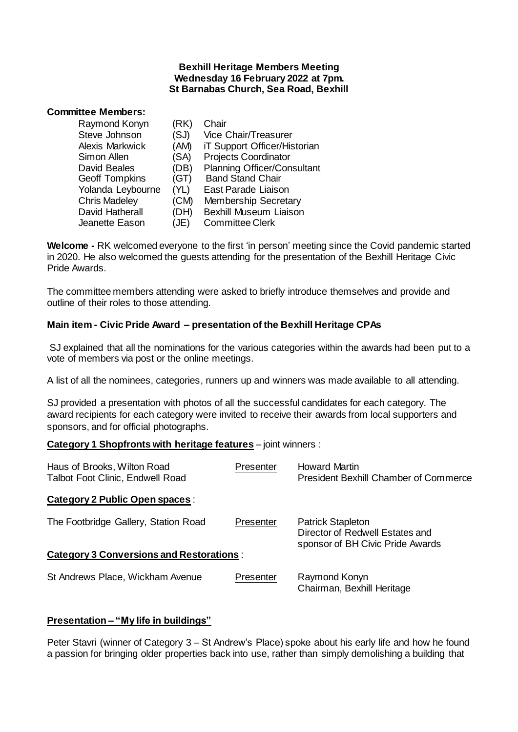#### **Bexhill Heritage Members Meeting Wednesday 16 February 2022 at 7pm. St Barnabas Church, Sea Road, Bexhill**

# **Committee Members:**

| Raymond Konyn         | (RK) | Chair                              |
|-----------------------|------|------------------------------------|
| Steve Johnson         | (SJ) | Vice Chair/Treasurer               |
| Alexis Markwick       | (AM) | iT Support Officer/Historian       |
| Simon Allen           | (SA) | <b>Projects Coordinator</b>        |
| <b>David Beales</b>   | (DB) | <b>Planning Officer/Consultant</b> |
| <b>Geoff Tompkins</b> | (GT) | <b>Band Stand Chair</b>            |
| Yolanda Leybourne     | (YL) | East Parade Liaison                |
| <b>Chris Madeley</b>  | (CM) | Membership Secretary               |
| David Hatherall       | (DH) | <b>Bexhill Museum Liaison</b>      |
| Jeanette Eason        | (JE) | <b>Committee Clerk</b>             |

**Welcome -** RK welcomed everyone to the first 'in person' meeting since the Covid pandemic started in 2020. He also welcomed the guests attending for the presentation of the Bexhill Heritage Civic Pride Awards.

The committee members attending were asked to briefly introduce themselves and provide and outline of their roles to those attending.

### **Main item - Civic Pride Award – presentation of the Bexhill Heritage CPAs**

SJ explained that all the nominations for the various categories within the awards had been put to a vote of members via post or the online meetings.

A list of all the nominees, categories, runners up and winners was made available to all attending.

SJ provided a presentation with photos of all the successful candidates for each category. The award recipients for each category were invited to receive their awards from local supporters and sponsors, and for official photographs.

### **Category 1 Shopfronts with heritage features** – joint winners :

| Haus of Brooks, Wilton Road<br><b>Talbot Foot Clinic, Endwell Road</b> | Presenter | Howard Martin<br><b>President Bexhill Chamber of Commerce</b>                                   |
|------------------------------------------------------------------------|-----------|-------------------------------------------------------------------------------------------------|
| Category 2 Public Open spaces :                                        |           |                                                                                                 |
| The Footbridge Gallery, Station Road                                   | Presenter | <b>Patrick Stapleton</b><br>Director of Redwell Estates and<br>sponsor of BH Civic Pride Awards |
| <b>Category 3 Conversions and Restorations:</b>                        |           |                                                                                                 |
| St Andrews Place, Wickham Avenue                                       | Presenter | Raymond Konyn<br>Chairman, Bexhill Heritage                                                     |

### **Presentation – "My life in buildings"**

Peter Stavri (winner of Category 3 – St Andrew's Place) spoke about his early life and how he found a passion for bringing older properties back into use, rather than simply demolishing a building that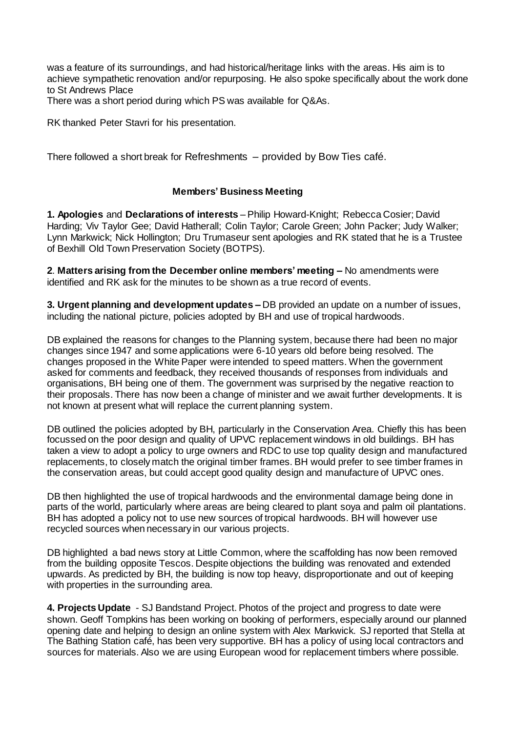was a feature of its surroundings, and had historical/heritage links with the areas. His aim is to achieve sympathetic renovation and/or repurposing. He also spoke specifically about the work done to St Andrews Place

There was a short period during which PS was available for Q&As.

RK thanked Peter Stavri for his presentation.

There followed a short break for Refreshments – provided by Bow Ties café.

#### **Members' Business Meeting**

**1. Apologies** and **Declarations of interests** – Philip Howard-Knight; Rebecca Cosier; David Harding; Viv Taylor Gee; David Hatherall; Colin Taylor; Carole Green; John Packer; Judy Walker; Lynn Markwick; Nick Hollington; Dru Trumaseur sent apologies and RK stated that he is a Trustee of Bexhill Old Town Preservation Society (BOTPS).

**2**. **Matters arising from the December online members' meeting –** No amendments were identified and RK ask for the minutes to be shown as a true record of events.

**3. Urgent planning and development updates –** DB provided an update on a number of issues, including the national picture, policies adopted by BH and use of tropical hardwoods.

DB explained the reasons for changes to the Planning system, because there had been no major changes since 1947 and some applications were 6-10 years old before being resolved. The changes proposed in the White Paper were intended to speed matters. When the government asked for comments and feedback, they received thousands of responses from individuals and organisations, BH being one of them. The government was surprised by the negative reaction to their proposals. There has now been a change of minister and we await further developments. It is not known at present what will replace the current planning system.

DB outlined the policies adopted by BH, particularly in the Conservation Area. Chiefly this has been focussed on the poor design and quality of UPVC replacement windows in old buildings. BH has taken a view to adopt a policy to urge owners and RDC to use top quality design and manufactured replacements, to closely match the original timber frames. BH would prefer to see timber frames in the conservation areas, but could accept good quality design and manufacture of UPVC ones.

DB then highlighted the use of tropical hardwoods and the environmental damage being done in parts of the world, particularly where areas are being cleared to plant soya and palm oil plantations. BH has adopted a policy not to use new sources of tropical hardwoods. BH will however use recycled sources when necessary in our various projects.

DB highlighted a bad news story at Little Common, where the scaffolding has now been removed from the building opposite Tescos. Despite objections the building was renovated and extended upwards. As predicted by BH, the building is now top heavy, disproportionate and out of keeping with properties in the surrounding area.

**4. Projects Update** - SJ Bandstand Project. Photos of the project and progress to date were shown. Geoff Tompkins has been working on booking of performers, especially around our planned opening date and helping to design an online system with Alex Markwick. SJ reported that Stella at The Bathing Station café, has been very supportive. BH has a policy of using local contractors and sources for materials. Also we are using European wood for replacement timbers where possible.